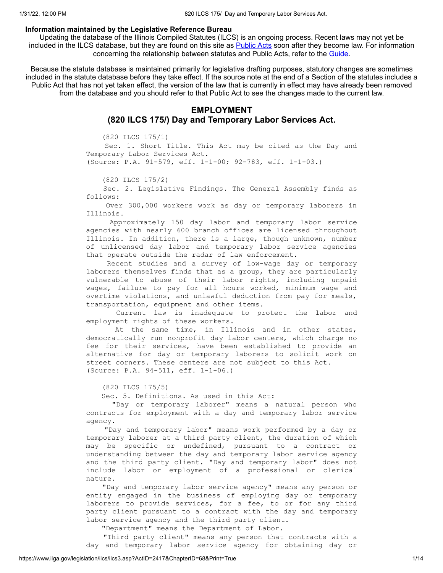### **Information maintained by the Legislative Reference Bureau**

Updating the database of the Illinois Compiled Statutes (ILCS) is an ongoing process. Recent laws may not yet be included in the ILCS database, but they are found on this site as **[Public](https://www.ilga.gov/legislation/publicacts/default.asp) Acts soon after they become law**. For information concerning the relationship between statutes and Public Acts, refer to the [Guide](https://www.ilga.gov/legislation/ilcs/using.asp).

Because the statute database is maintained primarily for legislative drafting purposes, statutory changes are sometimes included in the statute database before they take effect. If the source note at the end of a Section of the statutes includes a Public Act that has not yet taken effect, the version of the law that is currently in effect may have already been removed from the database and you should refer to that Public Act to see the changes made to the current law.

# **EMPLOYMENT**

# **(820 ILCS 175/) Day and Temporary Labor Services Act.**

(820 ILCS 175/1)

Sec. 1. Short Title. This Act may be cited as the Day and Temporary Labor Services Act. (Source: P.A. 91-579, eff. 1-1-00; 92-783, eff. 1-1-03.)

(820 ILCS 175/2)

Sec. 2. Legislative Findings. The General Assembly finds as follows:

Over 300,000 workers work as day or temporary laborers in Illinois.

Approximately 150 day labor and temporary labor service agencies with nearly 600 branch offices are licensed throughout Illinois. In addition, there is a large, though unknown, number of unlicensed day labor and temporary labor service agencies that operate outside the radar of law enforcement.

Recent studies and a survey of low-wage day or temporary laborers themselves finds that as a group, they are particularly vulnerable to abuse of their labor rights, including unpaid wages, failure to pay for all hours worked, minimum wage and overtime violations, and unlawful deduction from pay for meals, transportation, equipment and other items.

Current law is inadequate to protect the labor and employment rights of these workers.

At the same time, in Illinois and in other states, democratically run nonprofit day labor centers, which charge no fee for their services, have been established to provide an alternative for day or temporary laborers to solicit work on street corners. These centers are not subject to this Act. (Source: P.A. 94-511, eff. 1-1-06.)

(820 ILCS 175/5)

Sec. 5. Definitions. As used in this Act:

"Day or temporary laborer" means a natural person who contracts for employment with a day and temporary labor service agency.

"Day and temporary labor" means work performed by a day or temporary laborer at a third party client, the duration of which may be specific or undefined, pursuant to a contract or understanding between the day and temporary labor service agency and the third party client. "Day and temporary labor" does not include labor or employment of a professional or clerical nature.

"Day and temporary labor service agency" means any person or entity engaged in the business of employing day or temporary laborers to provide services, for a fee, to or for any third party client pursuant to a contract with the day and temporary labor service agency and the third party client.

"Department" means the Department of Labor.

"Third party client" means any person that contracts with a day and temporary labor service agency for obtaining day or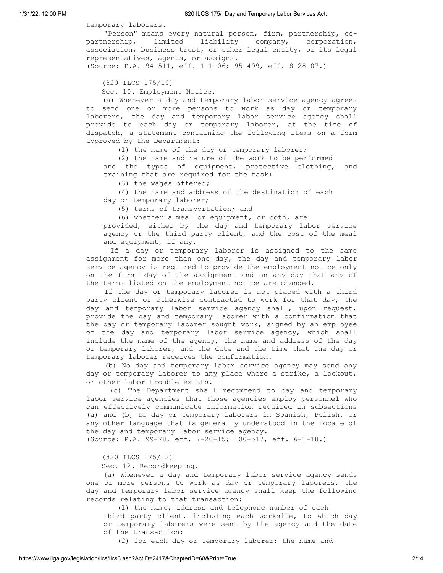temporary laborers.

"Person" means every natural person, firm, partnership, copartnership, limited liability company, corporation, association, business trust, or other legal entity, or its legal representatives, agents, or assigns. (Source: P.A. 94-511, eff. 1-1-06; 95-499, eff. 8-28-07.)

(820 ILCS 175/10)

Sec. 10. Employment Notice.

(a) Whenever a day and temporary labor service agency agrees to send one or more persons to work as day or temporary laborers, the day and temporary labor service agency shall provide to each day or temporary laborer, at the time of dispatch, a statement containing the following items on a form approved by the Department:

(1) the name of the day or temporary laborer;

(2) the name and nature of the work to be performed and the types of equipment, protective clothing, and training that are required for the task;

(3) the wages offered;

(4) the name and address of the destination of each day or temporary laborer;

(5) terms of transportation; and

(6) whether a meal or equipment, or both, are

provided, either by the day and temporary labor service agency or the third party client, and the cost of the meal and equipment, if any.

If a day or temporary laborer is assigned to the same assignment for more than one day, the day and temporary labor service agency is required to provide the employment notice only on the first day of the assignment and on any day that any of the terms listed on the employment notice are changed.

If the day or temporary laborer is not placed with a third party client or otherwise contracted to work for that day, the day and temporary labor service agency shall, upon request, provide the day and temporary laborer with a confirmation that the day or temporary laborer sought work, signed by an employee of the day and temporary labor service agency, which shall include the name of the agency, the name and address of the day or temporary laborer, and the date and the time that the day or temporary laborer receives the confirmation.

(b) No day and temporary labor service agency may send any day or temporary laborer to any place where a strike, a lockout, or other labor trouble exists.

(c) The Department shall recommend to day and temporary labor service agencies that those agencies employ personnel who can effectively communicate information required in subsections (a) and (b) to day or temporary laborers in Spanish, Polish, or any other language that is generally understood in the locale of the day and temporary labor service agency.

(Source: P.A. 99-78, eff. 7-20-15; 100-517, eff. 6-1-18.)

(820 ILCS 175/12)

Sec. 12. Recordkeeping.

(a) Whenever a day and temporary labor service agency sends one or more persons to work as day or temporary laborers, the day and temporary labor service agency shall keep the following records relating to that transaction:

(1) the name, address and telephone number of each third party client, including each worksite, to which day or temporary laborers were sent by the agency and the date of the transaction;

(2) for each day or temporary laborer: the name and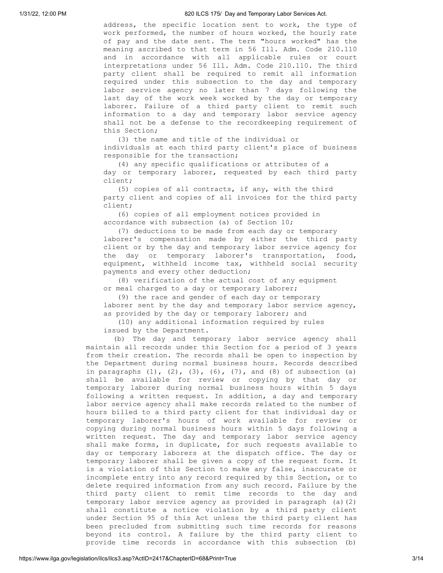address, the specific location sent to work, the type of work performed, the number of hours worked, the hourly rate of pay and the date sent. The term "hours worked" has the meaning ascribed to that term in 56 Ill. Adm. Code 210.110 and in accordance with all applicable rules or court interpretations under 56 Ill. Adm. Code 210.110. The third party client shall be required to remit all information required under this subsection to the day and temporary labor service agency no later than 7 days following the last day of the work week worked by the day or temporary laborer. Failure of a third party client to remit such information to a day and temporary labor service agency shall not be a defense to the recordkeeping requirement of this Section;

(3) the name and title of the individual or individuals at each third party client's place of business responsible for the transaction;

(4) any specific qualifications or attributes of a day or temporary laborer, requested by each third party client;

(5) copies of all contracts, if any, with the third party client and copies of all invoices for the third party client;

(6) copies of all employment notices provided in accordance with subsection (a) of Section 10;

(7) deductions to be made from each day or temporary laborer's compensation made by either the third party client or by the day and temporary labor service agency for the day or temporary laborer's transportation, food, equipment, withheld income tax, withheld social security payments and every other deduction;

(8) verification of the actual cost of any equipment or meal charged to a day or temporary laborer;

(9) the race and gender of each day or temporary laborer sent by the day and temporary labor service agency, as provided by the day or temporary laborer; and

(10) any additional information required by rules issued by the Department.

(b) The day and temporary labor service agency shall maintain all records under this Section for a period of 3 years from their creation. The records shall be open to inspection by the Department during normal business hours. Records described in paragraphs  $(1)$ ,  $(2)$ ,  $(3)$ ,  $(6)$ ,  $(7)$ , and  $(8)$  of subsection  $(a)$ shall be available for review or copying by that day or temporary laborer during normal business hours within 5 days following a written request. In addition, a day and temporary labor service agency shall make records related to the number of hours billed to a third party client for that individual day or temporary laborer's hours of work available for review or copying during normal business hours within 5 days following a written request. The day and temporary labor service agency shall make forms, in duplicate, for such requests available to day or temporary laborers at the dispatch office. The day or temporary laborer shall be given a copy of the request form. It is a violation of this Section to make any false, inaccurate or incomplete entry into any record required by this Section, or to delete required information from any such record. Failure by the third party client to remit time records to the day and temporary labor service agency as provided in paragraph (a)(2) shall constitute a notice violation by a third party client under Section 95 of this Act unless the third party client has been precluded from submitting such time records for reasons beyond its control. A failure by the third party client to provide time records in accordance with this subsection (b)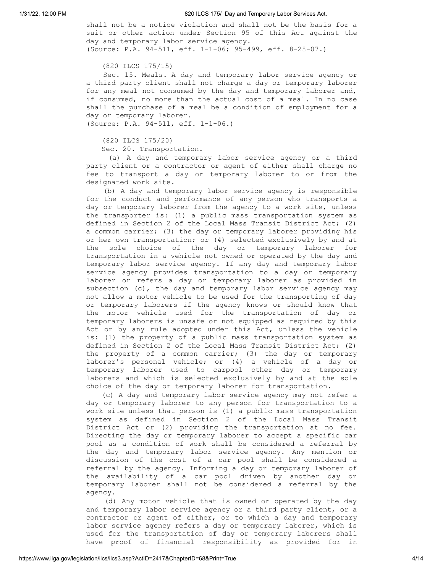shall not be a notice violation and shall not be the basis for a suit or other action under Section 95 of this Act against the day and temporary labor service agency. (Source: P.A. 94-511, eff. 1-1-06; 95-499, eff. 8-28-07.)

(820 ILCS 175/15)

Sec. 15. Meals. A day and temporary labor service agency or a third party client shall not charge a day or temporary laborer for any meal not consumed by the day and temporary laborer and, if consumed, no more than the actual cost of a meal. In no case shall the purchase of a meal be a condition of employment for a day or temporary laborer.

(Source: P.A. 94-511, eff. 1-1-06.)

(820 ILCS 175/20)

Sec. 20. Transportation.

(a) A day and temporary labor service agency or a third party client or a contractor or agent of either shall charge no fee to transport a day or temporary laborer to or from the designated work site.

(b) A day and temporary labor service agency is responsible for the conduct and performance of any person who transports a day or temporary laborer from the agency to a work site, unless the transporter is: (1) a public mass transportation system as defined in Section 2 of the Local Mass Transit District Act; (2) a common carrier; (3) the day or temporary laborer providing his or her own transportation; or (4) selected exclusively by and at the sole choice of the day or temporary laborer for transportation in a vehicle not owned or operated by the day and temporary labor service agency. If any day and temporary labor service agency provides transportation to a day or temporary laborer or refers a day or temporary laborer as provided in subsection (c), the day and temporary labor service agency may not allow a motor vehicle to be used for the transporting of day or temporary laborers if the agency knows or should know that the motor vehicle used for the transportation of day or temporary laborers is unsafe or not equipped as required by this Act or by any rule adopted under this Act, unless the vehicle is: (1) the property of a public mass transportation system as defined in Section 2 of the Local Mass Transit District Act; (2) the property of a common carrier; (3) the day or temporary laborer's personal vehicle; or (4) a vehicle of a day or temporary laborer used to carpool other day or temporary laborers and which is selected exclusively by and at the sole choice of the day or temporary laborer for transportation.

(c) A day and temporary labor service agency may not refer a day or temporary laborer to any person for transportation to a work site unless that person is (1) a public mass transportation system as defined in Section 2 of the Local Mass Transit District Act or (2) providing the transportation at no fee. Directing the day or temporary laborer to accept a specific car pool as a condition of work shall be considered a referral by the day and temporary labor service agency. Any mention or discussion of the cost of a car pool shall be considered a referral by the agency. Informing a day or temporary laborer of the availability of a car pool driven by another day or temporary laborer shall not be considered a referral by the agency.

(d) Any motor vehicle that is owned or operated by the day and temporary labor service agency or a third party client, or a contractor or agent of either, or to which a day and temporary labor service agency refers a day or temporary laborer, which is used for the transportation of day or temporary laborers shall have proof of financial responsibility as provided for in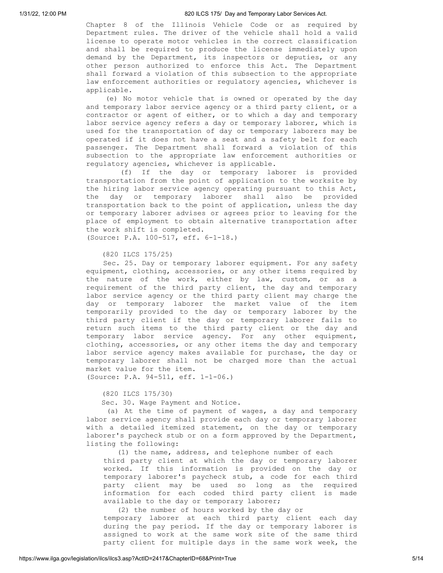Chapter 8 of the Illinois Vehicle Code or as required by Department rules. The driver of the vehicle shall hold a valid license to operate motor vehicles in the correct classification and shall be required to produce the license immediately upon demand by the Department, its inspectors or deputies, or any other person authorized to enforce this Act. The Department shall forward a violation of this subsection to the appropriate law enforcement authorities or regulatory agencies, whichever is applicable.

(e) No motor vehicle that is owned or operated by the day and temporary labor service agency or a third party client, or a contractor or agent of either, or to which a day and temporary labor service agency refers a day or temporary laborer, which is used for the transportation of day or temporary laborers may be operated if it does not have a seat and a safety belt for each passenger. The Department shall forward a violation of this subsection to the appropriate law enforcement authorities or regulatory agencies, whichever is applicable.

(f) If the day or temporary laborer is provided transportation from the point of application to the worksite by the hiring labor service agency operating pursuant to this Act, the day or temporary laborer shall also be provided transportation back to the point of application, unless the day or temporary laborer advises or agrees prior to leaving for the place of employment to obtain alternative transportation after the work shift is completed.

(Source: P.A. 100-517, eff. 6-1-18.)

(820 ILCS 175/25)

Sec. 25. Day or temporary laborer equipment. For any safety equipment, clothing, accessories, or any other items required by the nature of the work, either by law, custom, or as a requirement of the third party client, the day and temporary labor service agency or the third party client may charge the day or temporary laborer the market value of the item temporarily provided to the day or temporary laborer by the third party client if the day or temporary laborer fails to return such items to the third party client or the day and temporary labor service agency. For any other equipment, clothing, accessories, or any other items the day and temporary labor service agency makes available for purchase, the day or temporary laborer shall not be charged more than the actual market value for the item.

(Source: P.A. 94-511, eff. 1-1-06.)

(820 ILCS 175/30)

Sec. 30. Wage Payment and Notice.

(a) At the time of payment of wages, a day and temporary labor service agency shall provide each day or temporary laborer with a detailed itemized statement, on the day or temporary laborer's paycheck stub or on a form approved by the Department, listing the following:

(1) the name, address, and telephone number of each

third party client at which the day or temporary laborer worked. If this information is provided on the day or temporary laborer's paycheck stub, a code for each third party client may be used so long as the required information for each coded third party client is made available to the day or temporary laborer;

(2) the number of hours worked by the day or temporary laborer at each third party client each day during the pay period. If the day or temporary laborer is assigned to work at the same work site of the same third party client for multiple days in the same work week, the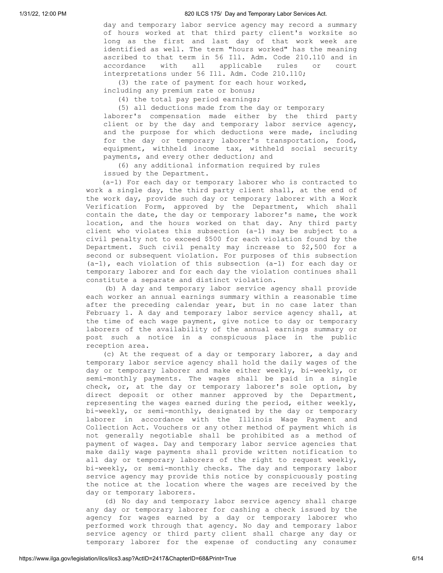day and temporary labor service agency may record a summary of hours worked at that third party client's worksite so long as the first and last day of that work week are identified as well. The term "hours worked" has the meaning ascribed to that term in 56 Ill. Adm. Code 210.110 and in accordance with all applicable rules or court interpretations under 56 Ill. Adm. Code 210.110;

(3) the rate of payment for each hour worked,

including any premium rate or bonus;

(4) the total pay period earnings;

(5) all deductions made from the day or temporary laborer's compensation made either by the third party client or by the day and temporary labor service agency, and the purpose for which deductions were made, including for the day or temporary laborer's transportation, food, equipment, withheld income tax, withheld social security payments, and every other deduction; and

(6) any additional information required by rules issued by the Department.

(a-1) For each day or temporary laborer who is contracted to work a single day, the third party client shall, at the end of the work day, provide such day or temporary laborer with a Work Verification Form, approved by the Department, which shall contain the date, the day or temporary laborer's name, the work location, and the hours worked on that day. Any third party client who violates this subsection (a-1) may be subject to a civil penalty not to exceed \$500 for each violation found by the Department. Such civil penalty may increase to \$2,500 for a second or subsequent violation. For purposes of this subsection (a-1), each violation of this subsection (a-1) for each day or temporary laborer and for each day the violation continues shall constitute a separate and distinct violation.

(b) A day and temporary labor service agency shall provide each worker an annual earnings summary within a reasonable time after the preceding calendar year, but in no case later than February 1. A day and temporary labor service agency shall, at the time of each wage payment, give notice to day or temporary laborers of the availability of the annual earnings summary or post such a notice in a conspicuous place in the public reception area.

(c) At the request of a day or temporary laborer, a day and temporary labor service agency shall hold the daily wages of the day or temporary laborer and make either weekly, bi-weekly, or semi-monthly payments. The wages shall be paid in a single check, or, at the day or temporary laborer's sole option, by direct deposit or other manner approved by the Department, representing the wages earned during the period, either weekly, bi-weekly, or semi-monthly, designated by the day or temporary laborer in accordance with the Illinois Wage Payment and Collection Act. Vouchers or any other method of payment which is not generally negotiable shall be prohibited as a method of payment of wages. Day and temporary labor service agencies that make daily wage payments shall provide written notification to all day or temporary laborers of the right to request weekly, bi-weekly, or semi-monthly checks. The day and temporary labor service agency may provide this notice by conspicuously posting the notice at the location where the wages are received by the day or temporary laborers.

(d) No day and temporary labor service agency shall charge any day or temporary laborer for cashing a check issued by the agency for wages earned by a day or temporary laborer who performed work through that agency. No day and temporary labor service agency or third party client shall charge any day or temporary laborer for the expense of conducting any consumer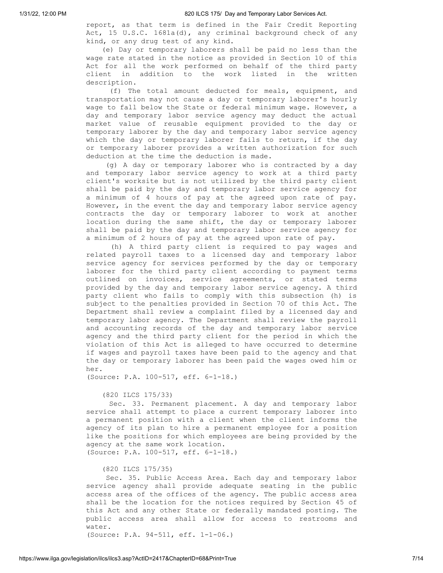report, as that term is defined in the Fair Credit Reporting Act, 15 U.S.C. 1681a(d), any criminal background check of any kind, or any drug test of any kind.

(e) Day or temporary laborers shall be paid no less than the wage rate stated in the notice as provided in Section 10 of this Act for all the work performed on behalf of the third party client in addition to the work listed in the written description.

(f) The total amount deducted for meals, equipment, and transportation may not cause a day or temporary laborer's hourly wage to fall below the State or federal minimum wage. However, a day and temporary labor service agency may deduct the actual market value of reusable equipment provided to the day or temporary laborer by the day and temporary labor service agency which the day or temporary laborer fails to return, if the day or temporary laborer provides a written authorization for such deduction at the time the deduction is made.

(g) A day or temporary laborer who is contracted by a day and temporary labor service agency to work at a third party client's worksite but is not utilized by the third party client shall be paid by the day and temporary labor service agency for a minimum of 4 hours of pay at the agreed upon rate of pay. However, in the event the day and temporary labor service agency contracts the day or temporary laborer to work at another location during the same shift, the day or temporary laborer shall be paid by the day and temporary labor service agency for a minimum of 2 hours of pay at the agreed upon rate of pay.

(h) A third party client is required to pay wages and related payroll taxes to a licensed day and temporary labor service agency for services performed by the day or temporary laborer for the third party client according to payment terms outlined on invoices, service agreements, or stated terms provided by the day and temporary labor service agency. A third party client who fails to comply with this subsection (h) is subject to the penalties provided in Section 70 of this Act. The Department shall review a complaint filed by a licensed day and temporary labor agency. The Department shall review the payroll and accounting records of the day and temporary labor service agency and the third party client for the period in which the violation of this Act is alleged to have occurred to determine if wages and payroll taxes have been paid to the agency and that the day or temporary laborer has been paid the wages owed him or her.

(Source: P.A. 100-517, eff. 6-1-18.)

#### (820 ILCS 175/33)

Sec. 33. Permanent placement. A day and temporary labor service shall attempt to place a current temporary laborer into a permanent position with a client when the client informs the agency of its plan to hire a permanent employee for a position like the positions for which employees are being provided by the agency at the same work location. (Source: P.A. 100-517, eff. 6-1-18.)

#### (820 ILCS 175/35)

Sec. 35. Public Access Area. Each day and temporary labor service agency shall provide adequate seating in the public access area of the offices of the agency. The public access area shall be the location for the notices required by Section 45 of this Act and any other State or federally mandated posting. The public access area shall allow for access to restrooms and water. (Source: P.A. 94-511, eff. 1-1-06.)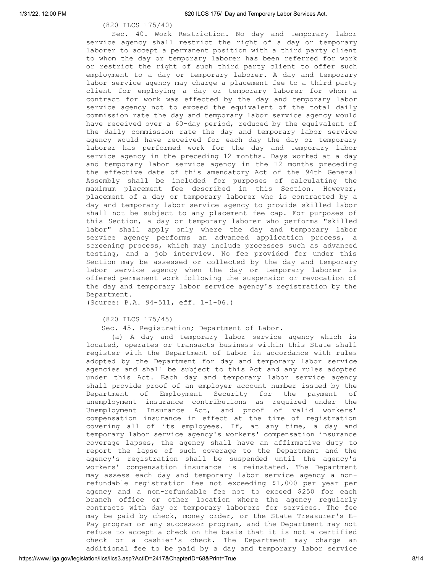## (820 ILCS 175/40)

Sec. 40. Work Restriction. No day and temporary labor service agency shall restrict the right of a day or temporary laborer to accept a permanent position with a third party client to whom the day or temporary laborer has been referred for work or restrict the right of such third party client to offer such employment to a day or temporary laborer. A day and temporary labor service agency may charge a placement fee to a third party client for employing a day or temporary laborer for whom a contract for work was effected by the day and temporary labor service agency not to exceed the equivalent of the total daily commission rate the day and temporary labor service agency would have received over a 60-day period, reduced by the equivalent of the daily commission rate the day and temporary labor service agency would have received for each day the day or temporary laborer has performed work for the day and temporary labor service agency in the preceding 12 months. Days worked at a day and temporary labor service agency in the 12 months preceding the effective date of this amendatory Act of the 94th General Assembly shall be included for purposes of calculating the maximum placement fee described in this Section. However, placement of a day or temporary laborer who is contracted by a day and temporary labor service agency to provide skilled labor shall not be subject to any placement fee cap. For purposes of this Section, a day or temporary laborer who performs "skilled labor" shall apply only where the day and temporary labor service agency performs an advanced application process, a screening process, which may include processes such as advanced testing, and a job interview. No fee provided for under this Section may be assessed or collected by the day and temporary labor service agency when the day or temporary laborer is offered permanent work following the suspension or revocation of the day and temporary labor service agency's registration by the Department.

(Source: P.A. 94-511, eff. 1-1-06.)

(820 ILCS 175/45)

Sec. 45. Registration; Department of Labor.

(a) A day and temporary labor service agency which is located, operates or transacts business within this State shall register with the Department of Labor in accordance with rules adopted by the Department for day and temporary labor service agencies and shall be subject to this Act and any rules adopted under this Act. Each day and temporary labor service agency shall provide proof of an employer account number issued by the Department of Employment Security for the payment of unemployment insurance contributions as required under the Unemployment Insurance Act, and proof of valid workers' compensation insurance in effect at the time of registration covering all of its employees. If, at any time, a day and temporary labor service agency's workers' compensation insurance coverage lapses, the agency shall have an affirmative duty to report the lapse of such coverage to the Department and the agency's registration shall be suspended until the agency's workers' compensation insurance is reinstated. The Department may assess each day and temporary labor service agency a nonrefundable registration fee not exceeding \$1,000 per year per agency and a non-refundable fee not to exceed \$250 for each branch office or other location where the agency regularly contracts with day or temporary laborers for services. The fee may be paid by check, money order, or the State Treasurer's E-Pay program or any successor program, and the Department may not refuse to accept a check on the basis that it is not a certified check or a cashier's check. The Department may charge an additional fee to be paid by a day and temporary labor service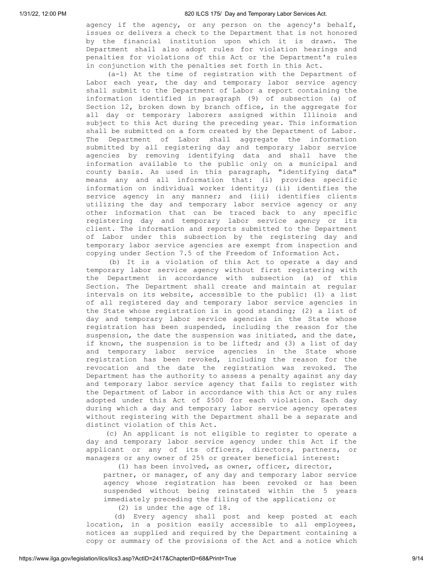agency if the agency, or any person on the agency's behalf, issues or delivers a check to the Department that is not honored by the financial institution upon which it is drawn. The Department shall also adopt rules for violation hearings and penalties for violations of this Act or the Department's rules in conjunction with the penalties set forth in this Act.

(a-1) At the time of registration with the Department of Labor each year, the day and temporary labor service agency shall submit to the Department of Labor a report containing the information identified in paragraph (9) of subsection (a) of Section 12, broken down by branch office, in the aggregate for all day or temporary laborers assigned within Illinois and subject to this Act during the preceding year. This information shall be submitted on a form created by the Department of Labor. The Department of Labor shall aggregate the information submitted by all registering day and temporary labor service agencies by removing identifying data and shall have the information available to the public only on a municipal and county basis. As used in this paragraph, "identifying data" means any and all information that: (i) provides specific information on individual worker identity; (ii) identifies the service agency in any manner; and (iii) identifies clients utilizing the day and temporary labor service agency or any other information that can be traced back to any specific registering day and temporary labor service agency or its client. The information and reports submitted to the Department of Labor under this subsection by the registering day and temporary labor service agencies are exempt from inspection and copying under Section 7.5 of the Freedom of Information Act.

(b) It is a violation of this Act to operate a day and temporary labor service agency without first registering with the Department in accordance with subsection (a) of this Section. The Department shall create and maintain at regular intervals on its website, accessible to the public: (1) a list of all registered day and temporary labor service agencies in the State whose registration is in good standing; (2) a list of day and temporary labor service agencies in the State whose registration has been suspended, including the reason for the suspension, the date the suspension was initiated, and the date, if known, the suspension is to be lifted; and (3) a list of day and temporary labor service agencies in the State whose registration has been revoked, including the reason for the revocation and the date the registration was revoked. The Department has the authority to assess a penalty against any day and temporary labor service agency that fails to register with the Department of Labor in accordance with this Act or any rules adopted under this Act of \$500 for each violation. Each day during which a day and temporary labor service agency operates without registering with the Department shall be a separate and distinct violation of this Act.

(c) An applicant is not eligible to register to operate a day and temporary labor service agency under this Act if the applicant or any of its officers, directors, partners, or managers or any owner of 25% or greater beneficial interest:

(1) has been involved, as owner, officer, director,

partner, or manager, of any day and temporary labor service agency whose registration has been revoked or has been suspended without being reinstated within the 5 years immediately preceding the filing of the application; or

(2) is under the age of 18.

(d) Every agency shall post and keep posted at each location, in a position easily accessible to all employees, notices as supplied and required by the Department containing a copy or summary of the provisions of the Act and a notice which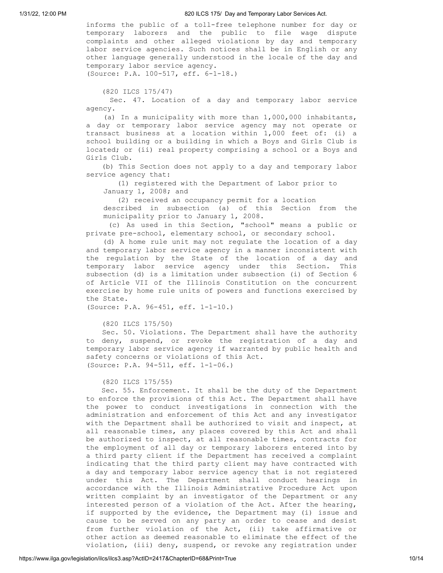informs the public of a toll-free telephone number for day or temporary laborers and the public to file wage dispute complaints and other alleged violations by day and temporary labor service agencies. Such notices shall be in English or any other language generally understood in the locale of the day and temporary labor service agency. (Source: P.A. 100-517, eff. 6-1-18.)

(820 ILCS 175/47)

Sec. 47. Location of a day and temporary labor service agency.

(a) In a municipality with more than 1,000,000 inhabitants, a day or temporary labor service agency may not operate or transact business at a location within 1,000 feet of: (i) a school building or a building in which a Boys and Girls Club is located; or (ii) real property comprising a school or a Boys and Girls Club.

(b) This Section does not apply to a day and temporary labor service agency that:

(1) registered with the Department of Labor prior to January 1, 2008; and

(2) received an occupancy permit for a location

described in subsection (a) of this Section from the municipality prior to January 1, 2008.

(c) As used in this Section, "school" means a public or private pre-school, elementary school, or secondary school.

(d) A home rule unit may not regulate the location of a day and temporary labor service agency in a manner inconsistent with the regulation by the State of the location of a day and temporary labor service agency under this Section. This subsection (d) is a limitation under subsection (i) of Section 6 of Article VII of the Illinois Constitution on the concurrent exercise by home rule units of powers and functions exercised by the State.

(Source: P.A. 96-451, eff. 1-1-10.)

(820 ILCS 175/50)

Sec. 50. Violations. The Department shall have the authority to deny, suspend, or revoke the registration of a day and temporary labor service agency if warranted by public health and safety concerns or violations of this Act. (Source: P.A. 94-511, eff. 1-1-06.)

(820 ILCS 175/55)

Sec. 55. Enforcement. It shall be the duty of the Department to enforce the provisions of this Act. The Department shall have the power to conduct investigations in connection with the administration and enforcement of this Act and any investigator with the Department shall be authorized to visit and inspect, at all reasonable times, any places covered by this Act and shall be authorized to inspect, at all reasonable times, contracts for the employment of all day or temporary laborers entered into by a third party client if the Department has received a complaint indicating that the third party client may have contracted with a day and temporary labor service agency that is not registered under this Act. The Department shall conduct hearings in accordance with the Illinois Administrative Procedure Act upon written complaint by an investigator of the Department or any interested person of a violation of the Act. After the hearing, if supported by the evidence, the Department may (i) issue and cause to be served on any party an order to cease and desist from further violation of the Act, (ii) take affirmative or other action as deemed reasonable to eliminate the effect of the violation, (iii) deny, suspend, or revoke any registration under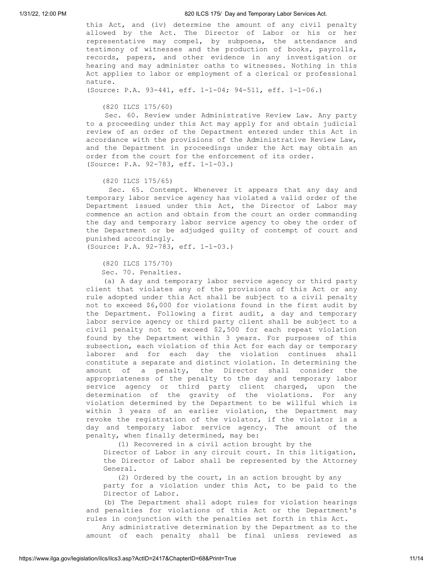this Act, and (iv) determine the amount of any civil penalty allowed by the Act. The Director of Labor or his or her representative may compel, by subpoena, the attendance and testimony of witnesses and the production of books, payrolls, records, papers, and other evidence in any investigation or hearing and may administer oaths to witnesses. Nothing in this Act applies to labor or employment of a clerical or professional nature.

(Source: P.A. 93-441, eff. 1-1-04; 94-511, eff. 1-1-06.)

(820 ILCS 175/60)

Sec. 60. Review under Administrative Review Law. Any party to a proceeding under this Act may apply for and obtain judicial review of an order of the Department entered under this Act in accordance with the provisions of the Administrative Review Law, and the Department in proceedings under the Act may obtain an order from the court for the enforcement of its order. (Source: P.A. 92-783, eff. 1-1-03.)

(820 ILCS 175/65)

Sec. 65. Contempt. Whenever it appears that any day and temporary labor service agency has violated a valid order of the Department issued under this Act, the Director of Labor may commence an action and obtain from the court an order commanding the day and temporary labor service agency to obey the order of the Department or be adjudged guilty of contempt of court and punished accordingly.

(Source: P.A. 92-783, eff. 1-1-03.)

(820 ILCS 175/70)

Sec. 70. Penalties.

(a) A day and temporary labor service agency or third party client that violates any of the provisions of this Act or any rule adopted under this Act shall be subject to a civil penalty not to exceed \$6,000 for violations found in the first audit by the Department. Following a first audit, a day and temporary labor service agency or third party client shall be subject to a civil penalty not to exceed \$2,500 for each repeat violation found by the Department within 3 years. For purposes of this subsection, each violation of this Act for each day or temporary laborer and for each day the violation continues shall constitute a separate and distinct violation. In determining the amount of a penalty, the Director shall consider the appropriateness of the penalty to the day and temporary labor service agency or third party client charged, upon the determination of the gravity of the violations. For any violation determined by the Department to be willful which is within 3 years of an earlier violation, the Department may revoke the registration of the violator, if the violator is a day and temporary labor service agency. The amount of the penalty, when finally determined, may be:

(1) Recovered in a civil action brought by the

Director of Labor in any circuit court. In this litigation, the Director of Labor shall be represented by the Attorney General.

(2) Ordered by the court, in an action brought by any party for a violation under this Act, to be paid to the Director of Labor.

(b) The Department shall adopt rules for violation hearings and penalties for violations of this Act or the Department's rules in conjunction with the penalties set forth in this Act.

Any administrative determination by the Department as to the amount of each penalty shall be final unless reviewed as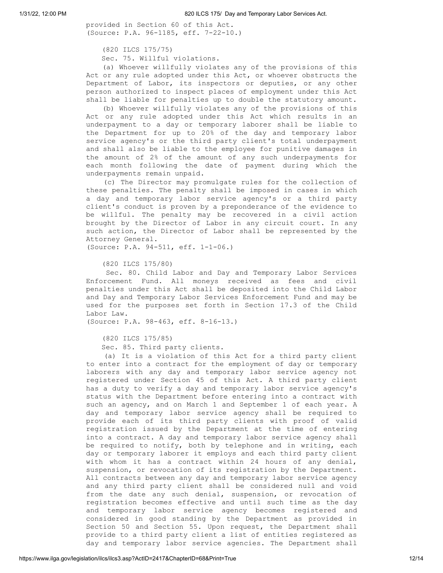provided in Section 60 of this Act. (Source: P.A. 96-1185, eff. 7-22-10.)

```
(820 ILCS 175/75)
```
Sec. 75. Willful violations.

(a) Whoever willfully violates any of the provisions of this Act or any rule adopted under this Act, or whoever obstructs the Department of Labor, its inspectors or deputies, or any other person authorized to inspect places of employment under this Act shall be liable for penalties up to double the statutory amount.

(b) Whoever willfully violates any of the provisions of this Act or any rule adopted under this Act which results in an underpayment to a day or temporary laborer shall be liable to the Department for up to 20% of the day and temporary labor service agency's or the third party client's total underpayment and shall also be liable to the employee for punitive damages in the amount of 2% of the amount of any such underpayments for each month following the date of payment during which the underpayments remain unpaid.

(c) The Director may promulgate rules for the collection of these penalties. The penalty shall be imposed in cases in which a day and temporary labor service agency's or a third party client's conduct is proven by a preponderance of the evidence to be willful. The penalty may be recovered in a civil action brought by the Director of Labor in any circuit court. In any such action, the Director of Labor shall be represented by the Attorney General.

(Source: P.A. 94-511, eff. 1-1-06.)

(820 ILCS 175/80)

Sec. 80. Child Labor and Day and Temporary Labor Services Enforcement Fund. All moneys received as fees and civil penalties under this Act shall be deposited into the Child Labor and Day and Temporary Labor Services Enforcement Fund and may be used for the purposes set forth in Section 17.3 of the Child Labor Law.

(Source: P.A. 98-463, eff. 8-16-13.)

(820 ILCS 175/85)

Sec. 85. Third party clients.

(a) It is a violation of this Act for a third party client to enter into a contract for the employment of day or temporary laborers with any day and temporary labor service agency not registered under Section 45 of this Act. A third party client has a duty to verify a day and temporary labor service agency's status with the Department before entering into a contract with such an agency, and on March 1 and September 1 of each year. A day and temporary labor service agency shall be required to provide each of its third party clients with proof of valid registration issued by the Department at the time of entering into a contract. A day and temporary labor service agency shall be required to notify, both by telephone and in writing, each day or temporary laborer it employs and each third party client with whom it has a contract within 24 hours of any denial, suspension, or revocation of its registration by the Department. All contracts between any day and temporary labor service agency and any third party client shall be considered null and void from the date any such denial, suspension, or revocation of registration becomes effective and until such time as the day and temporary labor service agency becomes registered and considered in good standing by the Department as provided in Section 50 and Section 55. Upon request, the Department shall provide to a third party client a list of entities registered as day and temporary labor service agencies. The Department shall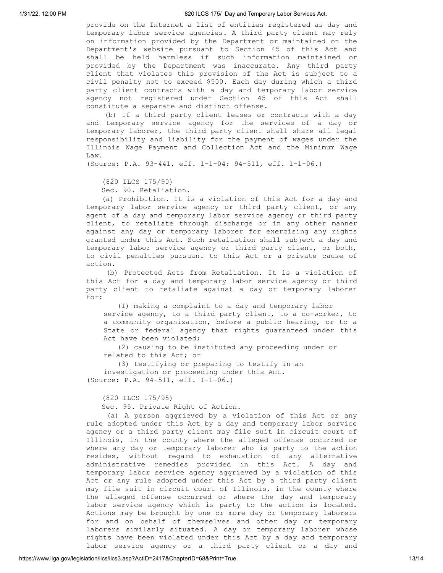provide on the Internet a list of entities registered as day and temporary labor service agencies. A third party client may rely on information provided by the Department or maintained on the Department's website pursuant to Section 45 of this Act and shall be held harmless if such information maintained or provided by the Department was inaccurate. Any third party client that violates this provision of the Act is subject to a civil penalty not to exceed \$500. Each day during which a third party client contracts with a day and temporary labor service agency not registered under Section 45 of this Act shall constitute a separate and distinct offense.

(b) If a third party client leases or contracts with a day and temporary service agency for the services of a day or temporary laborer, the third party client shall share all legal responsibility and liability for the payment of wages under the Illinois Wage Payment and Collection Act and the Minimum Wage Law.

(Source: P.A. 93-441, eff. 1-1-04; 94-511, eff. 1-1-06.)

(820 ILCS 175/90)

Sec. 90. Retaliation.

(a) Prohibition. It is a violation of this Act for a day and temporary labor service agency or third party client, or any agent of a day and temporary labor service agency or third party client, to retaliate through discharge or in any other manner against any day or temporary laborer for exercising any rights granted under this Act. Such retaliation shall subject a day and temporary labor service agency or third party client, or both, to civil penalties pursuant to this Act or a private cause of action.

(b) Protected Acts from Retaliation. It is a violation of this Act for a day and temporary labor service agency or third party client to retaliate against a day or temporary laborer for:

(1) making a complaint to a day and temporary labor service agency, to a third party client, to a co-worker, to a community organization, before a public hearing, or to a State or federal agency that rights guaranteed under this Act have been violated;

(2) causing to be instituted any proceeding under or related to this Act; or

(3) testifying or preparing to testify in an investigation or proceeding under this Act.

(Source: P.A. 94-511, eff. 1-1-06.)

(820 ILCS 175/95)

Sec. 95. Private Right of Action.

(a) A person aggrieved by a violation of this Act or any rule adopted under this Act by a day and temporary labor service agency or a third party client may file suit in circuit court of Illinois, in the county where the alleged offense occurred or where any day or temporary laborer who is party to the action resides, without regard to exhaustion of any alternative administrative remedies provided in this Act. A day and temporary labor service agency aggrieved by a violation of this Act or any rule adopted under this Act by a third party client may file suit in circuit court of Illinois, in the county where the alleged offense occurred or where the day and temporary labor service agency which is party to the action is located. Actions may be brought by one or more day or temporary laborers for and on behalf of themselves and other day or temporary laborers similarly situated. A day or temporary laborer whose rights have been violated under this Act by a day and temporary labor service agency or a third party client or a day and